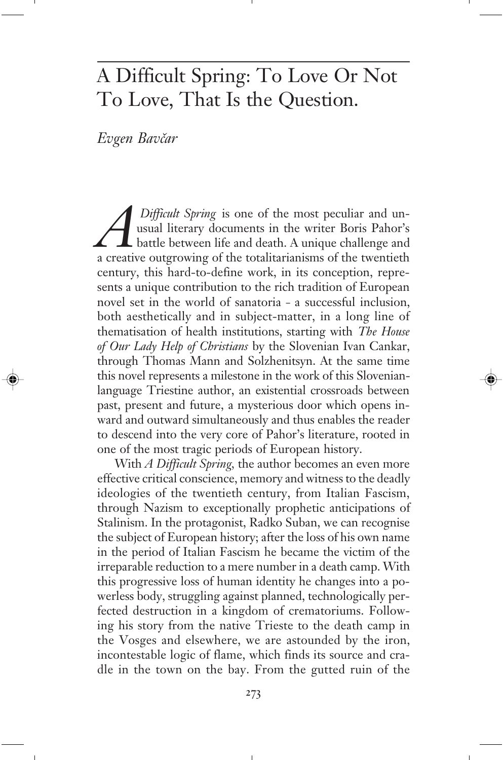## A Difficult Spring: To Love Or Not To Love, That Is the Question.

Evgen Bavčar

*Difficult Spring* is one of the most peculiar and unusual literary documents in the writer Boris Pahor's battle between life and death. A unique challenge and a creative outgrowing of the totalitarianisms of the twentieth usual literary documents in the writer Boris Pahor's battle between life and death. A unique challenge and a creative outgrowing of the totalitarianisms of the twentieth century, this hard-to-define work, in its conception, represents a unique contribution to the rich tradition of European novel set in the world of sanatoria – a successful inclusion, both aesthetically and in subject-matter, in a long line of thematisation of health institutions, starting with *The House of Our Lady Help of Christians* by the Slovenian Ivan Cankar, through Thomas Mann and Solzhenitsyn. At the same time this novel represents a milestone in the work of this Slovenianlanguage Triestine author, an existential crossroads between past, present and future, a mysterious door which opens inward and outward simultaneously and thus enables the reader to descend into the very core of Pahor's literature, rooted in one of the most tragic periods of European history.

With *A Difficult Spring,* the author becomes an even more effective critical conscience, memory and witness to the deadly ideologies of the twentieth century, from Italian Fascism, through Nazism to exceptionally prophetic anticipations of Stalinism. In the protagonist, Radko Suban, we can recognise the subject of European history; after the loss of his own name in the period of Italian Fascism he became the victim of the irreparable reduction to a mere number in a death camp. With this progressive loss of human identity he changes into a powerless body, struggling against planned, technologically perfected destruction in a kingdom of crematoriums. Following his story from the native Trieste to the death camp in the Vosges and elsewhere, we are astounded by the iron, incontestable logic of flame, which finds its source and cradle in the town on the bay. From the gutted ruin of the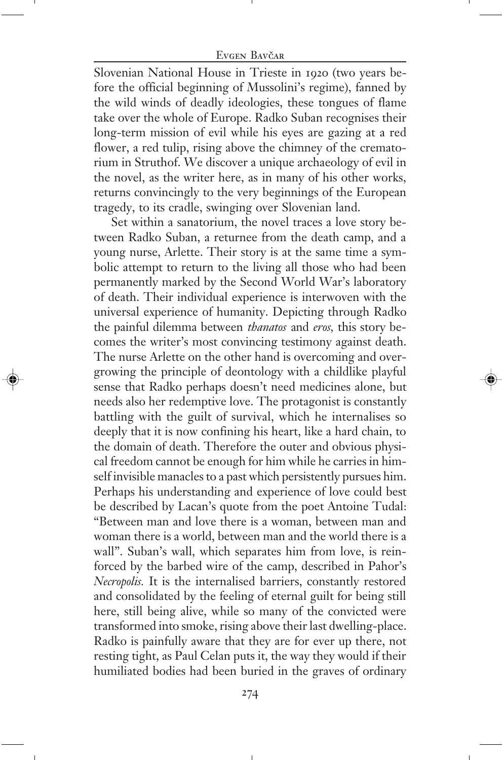Slovenian National House in Trieste in 1920 (two years before the official beginning of Mussolini's regime), fanned by the wild winds of deadly ideologies, these tongues of flame take over the whole of Europe. Radko Suban recognises their long-term mission of evil while his eyes are gazing at a red flower, a red tulip, rising above the chimney of the crematorium in Struthof. We discover a unique archaeology of evil in the novel, as the writer here, as in many of his other works, returns convincingly to the very beginnings of the European tragedy, to its cradle, swinging over Slovenian land.

Set within a sanatorium, the novel traces a love story between Radko Suban, a returnee from the death camp, and a young nurse, Arlette. Their story is at the same time a symbolic attempt to return to the living all those who had been permanently marked by the Second World War's laboratory of death. Their individual experience is interwoven with the universal experience of humanity. Depicting through Radko the painful dilemma between *thanatos* and *eros,* this story becomes the writer's most convincing testimony against death. The nurse Arlette on the other hand is overcoming and overgrowing the principle of deontology with a childlike playful sense that Radko perhaps doesn't need medicines alone, but needs also her redemptive love. The protagonist is constantly battling with the guilt of survival, which he internalises so deeply that it is now confining his heart, like a hard chain, to the domain of death. Therefore the outer and obvious physical freedom cannot be enough for him while he carries in himself invisible manacles to a past which persistently pursues him. Perhaps his understanding and experience of love could best be described by Lacan's quote from the poet Antoine Tudal: "Between man and love there is a woman, between man and woman there is a world, between man and the world there is a wall". Suban's wall, which separates him from love, is reinforced by the barbed wire of the camp, described in Pahor's *Necropolis.* It is the internalised barriers, constantly restored and consolidated by the feeling of eternal guilt for being still here, still being alive, while so many of the convicted were transformed into smoke, rising above their last dwelling-place. Radko is painfully aware that they are for ever up there, not resting tight, as Paul Celan puts it, the way they would if their humiliated bodies had been buried in the graves of ordinary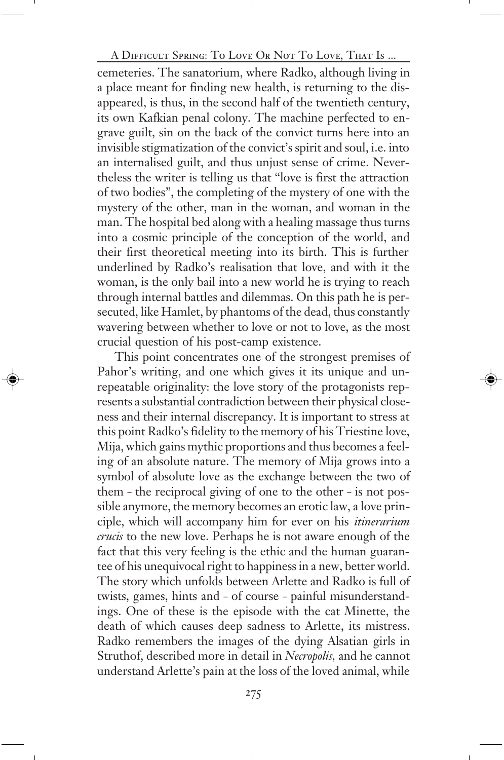A Difficult Spring A Difficult Spring: To Love Or Not To Love, That Is ...

cemeteries. The sanatorium, where Radko, although living in a place meant for finding new health, is returning to the disappeared, is thus, in the second half of the twentieth century, its own Kafkian penal colony. The machine perfected to engrave guilt, sin on the back of the convict turns here into an invisible stigmatization of the convict's spirit and soul, i.e. into an internalised guilt, and thus unjust sense of crime. Nevertheless the writer is telling us that "love is first the attraction of two bodies", the completing of the mystery of one with the mystery of the other, man in the woman, and woman in the man. The hospital bed along with a healing massage thus turns into a cosmic principle of the conception of the world, and their first theoretical meeting into its birth. This is further underlined by Radko's realisation that love, and with it the woman, is the only bail into a new world he is trying to reach through internal battles and dilemmas. On this path he is persecuted, like Hamlet, by phantoms of the dead, thus constantly wavering between whether to love or not to love, as the most crucial question of his post-camp existence.

This point concentrates one of the strongest premises of Pahor's writing, and one which gives it its unique and unrepeatable originality: the love story of the protagonists represents a substantial contradiction between their physical closeness and their internal discrepancy. It is important to stress at this point Radko's fidelity to the memory of his Triestine love, Mija, which gains mythic proportions and thus becomes a feeling of an absolute nature. The memory of Mija grows into a symbol of absolute love as the exchange between the two of them – the reciprocal giving of one to the other – is not possible anymore, the memory becomes an erotic law, a love principle, which will accompany him for ever on his *itinerarium crucis* to the new love. Perhaps he is not aware enough of the fact that this very feeling is the ethic and the human guarantee of his unequivocal right to happiness in a new, better world. The story which unfolds between Arlette and Radko is full of twists, games, hints and – of course – painful misunderstandings. One of these is the episode with the cat Minette, the death of which causes deep sadness to Arlette, its mistress. Radko remembers the images of the dying Alsatian girls in Struthof, described more in detail in *Necropolis,* and he cannot understand Arlette's pain at the loss of the loved animal, while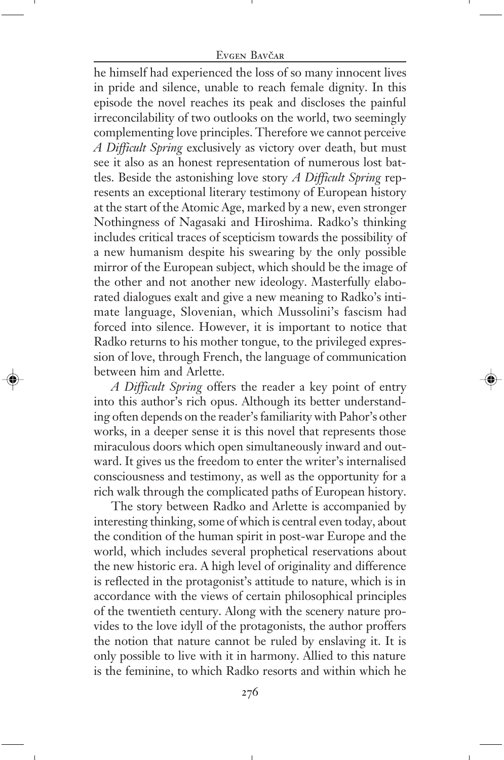#### Evgen Bavčar

he himself had experienced the loss of so many innocent lives in pride and silence, unable to reach female dignity. In this episode the novel reaches its peak and discloses the painful irreconcilability of two outlooks on the world, two seemingly complementing love principles. Therefore we cannot perceive *A Difficult Spring* exclusively as victory over death, but must see it also as an honest representation of numerous lost battles. Beside the astonishing love story *A Difficult Spring* represents an exceptional literary testimony of European history at the start of the Atomic Age, marked by a new, even stronger Nothingness of Nagasaki and Hiroshima. Radko's thinking includes critical traces of scepticism towards the possibility of a new humanism despite his swearing by the only possible mirror of the European subject, which should be the image of the other and not another new ideology. Masterfully elaborated dialogues exalt and give a new meaning to Radko's intimate language, Slovenian, which Mussolini's fascism had forced into silence. However, it is important to notice that Radko returns to his mother tongue, to the privileged expression of love, through French, the language of communication between him and Arlette.

*A Difficult Spring* offers the reader a key point of entry into this author's rich opus. Although its better understanding often depends on the reader's familiarity with Pahor's other works, in a deeper sense it is this novel that represents those miraculous doors which open simultaneously inward and outward. It gives us the freedom to enter the writer's internalised consciousness and testimony, as well as the opportunity for a rich walk through the complicated paths of European history.

The story between Radko and Arlette is accompanied by interesting thinking, some of which is central even today, about the condition of the human spirit in post-war Europe and the world, which includes several prophetical reservations about the new historic era. A high level of originality and difference is reflected in the protagonist's attitude to nature, which is in accordance with the views of certain philosophical principles of the twentieth century. Along with the scenery nature provides to the love idyll of the protagonists, the author proffers the notion that nature cannot be ruled by enslaving it. It is only possible to live with it in harmony. Allied to this nature is the feminine, to which Radko resorts and within which he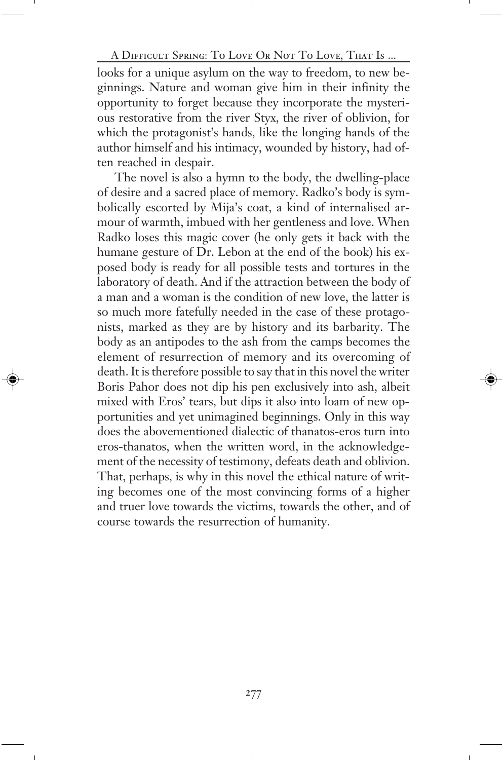A Difficult Spring A Difficult Spring: To Love Or Not To Love, That Is ...

looks for a unique asylum on the way to freedom, to new beginnings. Nature and woman give him in their infinity the opportunity to forget because they incorporate the mysterious restorative from the river Styx, the river of oblivion, for which the protagonist's hands, like the longing hands of the author himself and his intimacy, wounded by history, had often reached in despair.

The novel is also a hymn to the body, the dwelling-place of desire and a sacred place of memory. Radko's body is symbolically escorted by Mija's coat, a kind of internalised armour of warmth, imbued with her gentleness and love. When Radko loses this magic cover (he only gets it back with the humane gesture of Dr. Lebon at the end of the book) his exposed body is ready for all possible tests and tortures in the laboratory of death. And if the attraction between the body of a man and a woman is the condition of new love, the latter is so much more fatefully needed in the case of these protagonists, marked as they are by history and its barbarity. The body as an antipodes to the ash from the camps becomes the element of resurrection of memory and its overcoming of death. It is therefore possible to say that in this novel the writer Boris Pahor does not dip his pen exclusively into ash, albeit mixed with Eros' tears, but dips it also into loam of new opportunities and yet unimagined beginnings. Only in this way does the abovementioned dialectic of thanatos-eros turn into eros-thanatos, when the written word, in the acknowledgement of the necessity of testimony, defeats death and oblivion. That, perhaps, is why in this novel the ethical nature of writing becomes one of the most convincing forms of a higher and truer love towards the victims, towards the other, and of course towards the resurrection of humanity.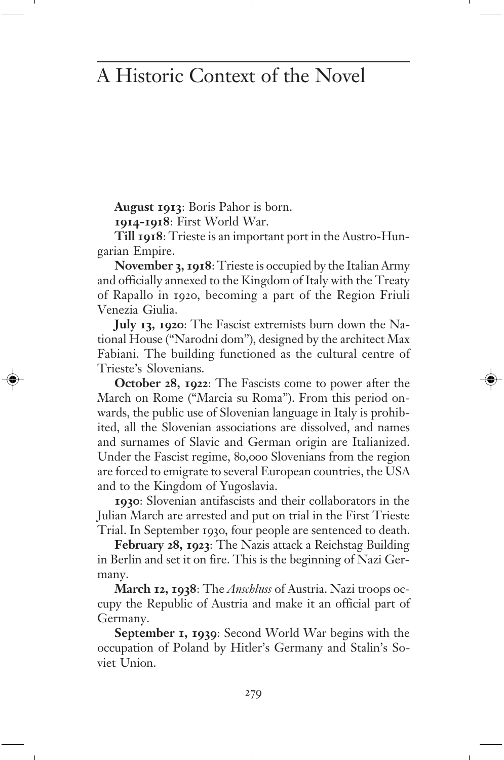# A Historic Context of the Novel

**August 1913**: Boris Pahor is born.

**1914-1918**: First World War.

**Till 1918**: Trieste is an important port in the Austro-Hungarian Empire.

**November 3, 1918**: Trieste is occupied by the Italian Army and officially annexed to the Kingdom of Italy with the Treaty of Rapallo in 1920, becoming a part of the Region Friuli Venezia Giulia.

**July 13, 1920**: The Fascist extremists burn down the National House ("Narodni dom"), designed by the architect Max Fabiani. The building functioned as the cultural centre of Trieste's Slovenians.

**October 28, 1922**: The Fascists come to power after the March on Rome ("Marcia su Roma"). From this period onwards, the public use of Slovenian language in Italy is prohibited, all the Slovenian associations are dissolved, and names and surnames of Slavic and German origin are Italianized. Under the Fascist regime, 80,000 Slovenians from the region are forced to emigrate to several European countries, the USA and to the Kingdom of Yugoslavia.

**1930**: Slovenian antifascists and their collaborators in the Julian March are arrested and put on trial in the First Trieste Trial. In September 1930, four people are sentenced to death.

**February 28, 1923**: The Nazis attack a Reichstag Building in Berlin and set it on fire. This is the beginning of Nazi Germany.

**March 12, 1938**: The *Anschluss* of Austria. Nazi troops occupy the Republic of Austria and make it an official part of Germany.

**September 1, 1939**: Second World War begins with the occupation of Poland by Hitler's Germany and Stalin's Soviet Union.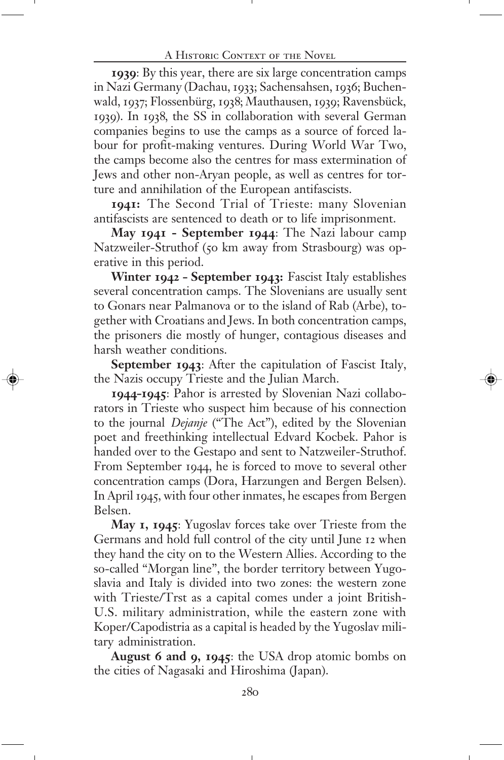**1939**: By this year, there are six large concentration camps in Nazi Germany (Dachau, 1933; Sachensahsen, 1936; Buchenwald, 1937; Flossenbürg, 1938; Mauthausen, 1939; Ravensbück, 1939). In 1938, the SS in collaboration with several German companies begins to use the camps as a source of forced labour for profit-making ventures. During World War Two, the camps become also the centres for mass extermination of Jews and other non-Aryan people, as well as centres for torture and annihilation of the European antifascists.

**1941:** The Second Trial of Trieste: many Slovenian antifascists are sentenced to death or to life imprisonment.

**May 1941 - September 1944**: The Nazi labour camp Natzweiler-Struthof (50 km away from Strasbourg) was operative in this period.

**Winter 1942 – September 1943:** Fascist Italy establishes several concentration camps. The Slovenians are usually sent to Gonars near Palmanova or to the island of Rab (Arbe), together with Croatians and Jews. In both concentration camps, the prisoners die mostly of hunger, contagious diseases and harsh weather conditions.

**September 1943**: After the capitulation of Fascist Italy, the Nazis occupy Trieste and the Julian March.

**1944–1945**: Pahor is arrested by Slovenian Nazi collaborators in Trieste who suspect him because of his connection to the journal *Dejanje* ("The Act"), edited by the Slovenian poet and freethinking intellectual Edvard Kocbek. Pahor is handed over to the Gestapo and sent to Natzweiler-Struthof. From September 1944, he is forced to move to several other concentration camps (Dora, Harzungen and Bergen Belsen). In April 1945, with four other inmates, he escapes from Bergen Belsen.

**May 1, 1945**: Yugoslav forces take over Trieste from the Germans and hold full control of the city until June 12 when they hand the city on to the Western Allies. According to the so-called "Morgan line", the border territory between Yugoslavia and Italy is divided into two zones: the western zone with Trieste/Trst as a capital comes under a joint British-U.S. military administration, while the eastern zone with Koper/Capodistria as a capital is headed by the Yugoslav military administration.

**August 6 and 9, 1945**: the USA drop atomic bombs on the cities of Nagasaki and Hiroshima (Japan).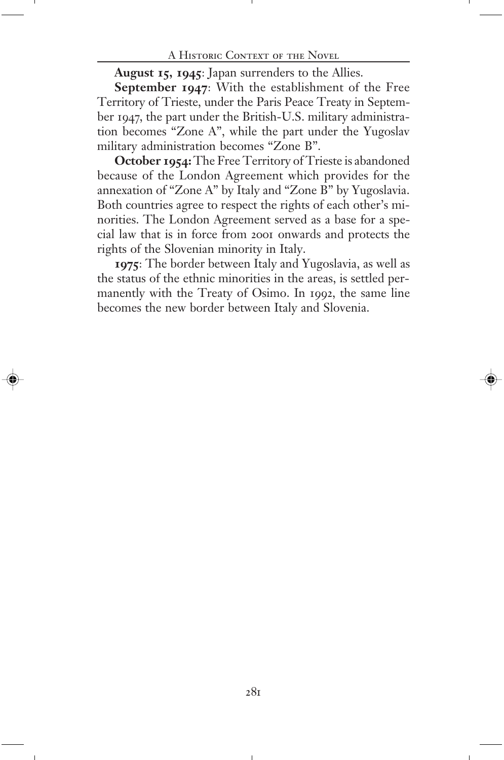**August 15, 1945**: Japan surrenders to the Allies.

**September 1947**: With the establishment of the Free Territory of Trieste, under the Paris Peace Treaty in September 1947, the part under the British-U.S. military administration becomes "Zone A", while the part under the Yugoslav military administration becomes "Zone B".

**October 1954:** The Free Territory of Trieste is abandoned because of the London Agreement which provides for the annexation of "Zone A" by Italy and "Zone B" by Yugoslavia. Both countries agree to respect the rights of each other's minorities. The London Agreement served as a base for a special law that is in force from 2001 onwards and protects the rights of the Slovenian minority in Italy.

**1975**: The border between Italy and Yugoslavia, as well as the status of the ethnic minorities in the areas, is settled permanently with the Treaty of Osimo. In 1992, the same line becomes the new border between Italy and Slovenia.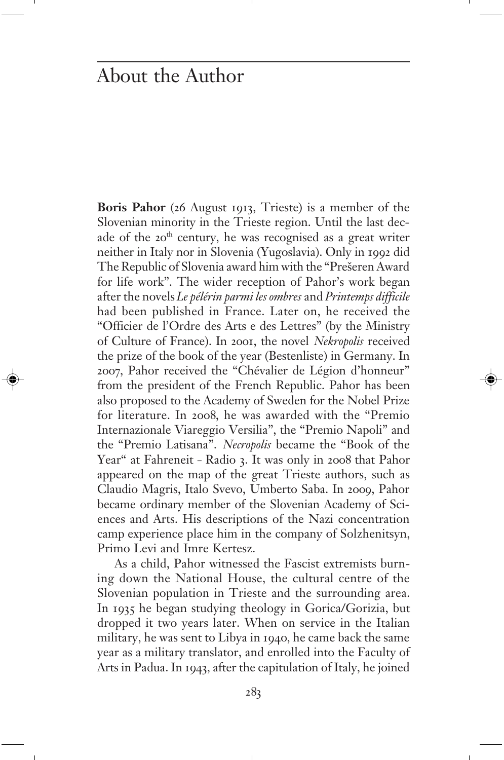### About the Author

**Boris Pahor** (26 August 1913, Trieste) is a member of the Slovenian minority in the Trieste region. Until the last decade of the 20<sup>th</sup> century, he was recognised as a great writer neither in Italy nor in Slovenia (Yugoslavia). Only in 1992 did The Republic of Slovenia award him with the "Prešeren Award for life work". The wider reception of Pahor's work began after the novels *Le pélérin parmi les ombres* and *Printemps difficile* had been published in France. Later on, he received the "Officier de l'Ordre des Arts e des Lettres" (by the Ministry of Culture of France). In 2001, the novel *Nekropolis* received the prize of the book of the year (Bestenliste) in Germany. In 2007, Pahor received the "Chévalier de Légion d'honneur" from the president of the French Republic. Pahor has been also proposed to the Academy of Sweden for the Nobel Prize for literature. In 2008, he was awarded with the "Premio Internazionale Viareggio Versilia", the "Premio Napoli" and the "Premio Latisana". *Necropolis* became the "Book of the Year" at Fahreneit – Radio 3. It was only in 2008 that Pahor appeared on the map of the great Trieste authors, such as Claudio Magris, Italo Svevo, Umberto Saba. In 2009, Pahor became ordinary member of the Slovenian Academy of Sciences and Arts. His descriptions of the Nazi concentration camp experience place him in the company of Solzhenitsyn, Primo Levi and Imre Kertesz.

As a child, Pahor witnessed the Fascist extremists burning down the National House, the cultural centre of the Slovenian population in Trieste and the surrounding area. In 1935 he began studying theology in Gorica/Gorizia, but dropped it two years later. When on service in the Italian military, he was sent to Libya in 1940, he came back the same year as a military translator, and enrolled into the Faculty of Arts in Padua. In 1943, after the capitulation of Italy, he joined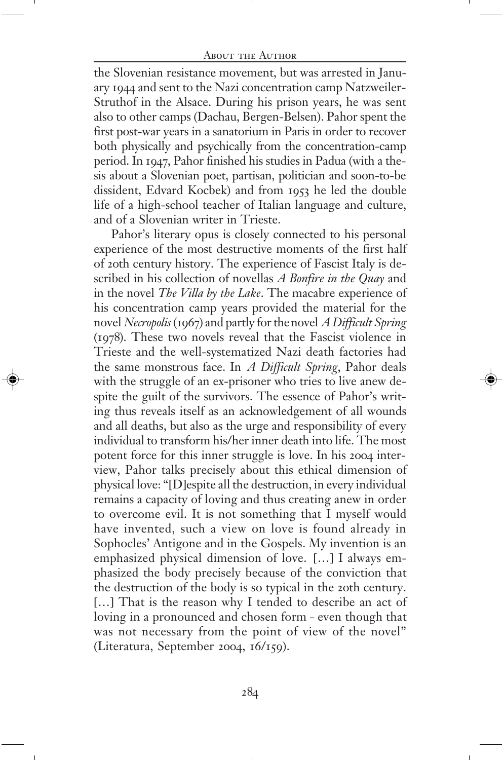the Slovenian resistance movement, but was arrested in January 1944 and sent to the Nazi concentration camp Natzweiler-Struthof in the Alsace. During his prison years, he was sent also to other camps (Dachau, Bergen-Belsen). Pahor spent the first post-war years in a sanatorium in Paris in order to recover both physically and psychically from the concentration-camp period. In 1947, Pahor finished his studies in Padua (with a thesis about a Slovenian poet, partisan, politician and soon-to-be dissident, Edvard Kocbek) and from 1953 he led the double life of a high-school teacher of Italian language and culture, and of a Slovenian writer in Trieste.

Pahor's literary opus is closely connected to his personal experience of the most destructive moments of the first half of 20th century history. The experience of Fascist Italy is described in his collection of novellas *A Bonfire in the Quay* and in the novel *The Villa by the Lake*. The macabre experience of his concentration camp years provided the material for the novel *Necropolis* (1967) and partly for the novel *A Difficult Spring* (1978). These two novels reveal that the Fascist violence in Trieste and the well-systematized Nazi death factories had the same monstrous face. In *A Difficult Spring*, Pahor deals with the struggle of an ex-prisoner who tries to live anew despite the guilt of the survivors. The essence of Pahor's writing thus reveals itself as an acknowledgement of all wounds and all deaths, but also as the urge and responsibility of every individual to transform his/her inner death into life. The most potent force for this inner struggle is love. In his 2004 interview, Pahor talks precisely about this ethical dimension of physical love: "[D]espite all the destruction, in every individual remains a capacity of loving and thus creating anew in order to overcome evil. It is not something that I myself would have invented, such a view on love is found already in Sophocles' Antigone and in the Gospels. My invention is an emphasized physical dimension of love. […] I always emphasized the body precisely because of the conviction that the destruction of the body is so typical in the 20th century. [...] That is the reason why I tended to describe an act of loving in a pronounced and chosen form – even though that was not necessary from the point of view of the novel" (Literatura, September 2004, 16/159).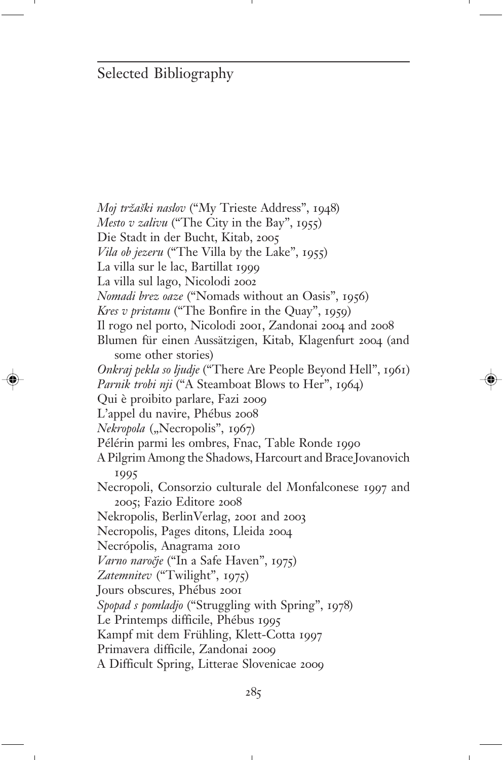#### Selected Bibliography

*Moj tržaški naslov* ("My Trieste Address", 1948) *Mesto v zalivu* ("The City in the Bay", 1955) Die Stadt in der Bucht, Kitab, 2005 *Vila ob jezeru* ("The Villa by the Lake", 1955) La villa sur le lac, Bartillat 1999 La villa sul lago, Nicolodi 2002 *Nomadi brez oaze* ("Nomads without an Oasis", 1956) *Kres v pristanu* ("The Bonfire in the Quay", 1959) Il rogo nel porto, Nicolodi 2001, Zandonai 2004 and 2008 Blumen für einen Aussätzigen, Kitab, Klagenfurt 2004 (and some other stories) *Onkraj pekla so ljudje* ("There Are People Beyond Hell", 1961) Parnik trobi nji ("A Steamboat Blows to Her", 1964) Qui è proibito parlare, Fazi 2009 L'appel du navire, Phébus 2008 *Nekropola* ("Necropolis", 1967) Pélérin parmi les ombres, Fnac, Table Ronde 1990 A Pilgrim Among the Shadows, Harcourt and Brace Jovanovich 1995 Necropoli, Consorzio culturale del Monfalconese 1997 and 2005; Fazio Editore 2008 Nekropolis, BerlinVerlag, 2001 and 2003 Necropolis, Pages ditons, Lleida 2004 Necrópolis, Anagrama 2010 *Varno naro~je* ("In a Safe Haven", 1975) *Zatemnitev* ("Twilight", 1975) Jours obscures, Phébus 2001 *Spopad s pomladjo* ("Struggling with Spring", 1978) Le Printemps difficile, Phébus 1995 Kampf mit dem Frühling, Klett-Cotta 1997 Primavera difficile, Zandonai 2009 A Difficult Spring, Litterae Slovenicae 2009